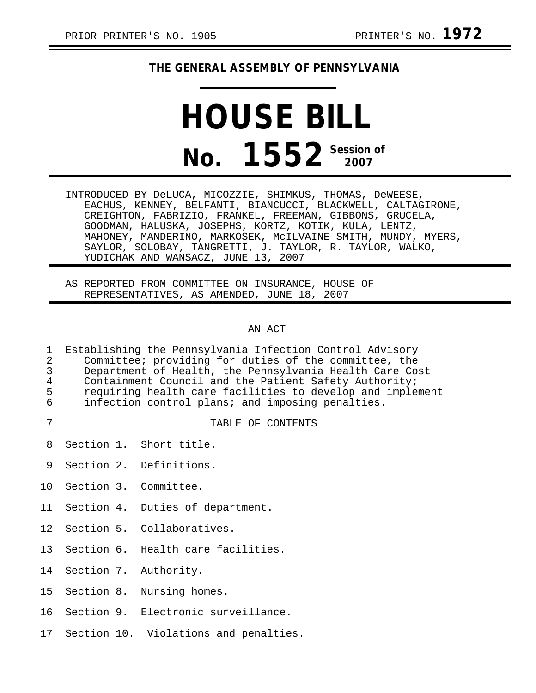## **THE GENERAL ASSEMBLY OF PENNSYLVANIA**

## **HOUSE BILL No. 1552** Session of

INTRODUCED BY DeLUCA, MICOZZIE, SHIMKUS, THOMAS, DeWEESE, EACHUS, KENNEY, BELFANTI, BIANCUCCI, BLACKWELL, CALTAGIRONE, CREIGHTON, FABRIZIO, FRANKEL, FREEMAN, GIBBONS, GRUCELA, GOODMAN, HALUSKA, JOSEPHS, KORTZ, KOTIK, KULA, LENTZ, MAHONEY, MANDERINO, MARKOSEK, McILVAINE SMITH, MUNDY, MYERS, SAYLOR, SOLOBAY, TANGRETTI, J. TAYLOR, R. TAYLOR, WALKO, YUDICHAK AND WANSACZ, JUNE 13, 2007

AS REPORTED FROM COMMITTEE ON INSURANCE, HOUSE OF REPRESENTATIVES, AS AMENDED, JUNE 18, 2007

## AN ACT

| 1<br>$\mathbf{2}$<br>$\overline{3}$<br>$\overline{4}$<br>5<br>6 | Establishing the Pennsylvania Infection Control Advisory<br>Committee; providing for duties of the committee, the<br>Department of Health, the Pennsylvania Health Care Cost<br>Containment Council and the Patient Safety Authority;<br>requiring health care facilities to develop and implement<br>infection control plans; and imposing penalties. |  |                                       |
|-----------------------------------------------------------------|--------------------------------------------------------------------------------------------------------------------------------------------------------------------------------------------------------------------------------------------------------------------------------------------------------------------------------------------------------|--|---------------------------------------|
| 7                                                               |                                                                                                                                                                                                                                                                                                                                                        |  | TABLE OF CONTENTS                     |
| 8                                                               |                                                                                                                                                                                                                                                                                                                                                        |  | Section 1. Short title.               |
| 9                                                               |                                                                                                                                                                                                                                                                                                                                                        |  | Section 2. Definitions.               |
| 10                                                              |                                                                                                                                                                                                                                                                                                                                                        |  | Section 3. Committee.                 |
| 11                                                              |                                                                                                                                                                                                                                                                                                                                                        |  | Section 4. Duties of department.      |
| 12 <sub>1</sub>                                                 |                                                                                                                                                                                                                                                                                                                                                        |  | Section 5. Collaboratives.            |
| 13                                                              |                                                                                                                                                                                                                                                                                                                                                        |  | Section 6. Health care facilities.    |
| 14                                                              |                                                                                                                                                                                                                                                                                                                                                        |  | Section 7. Authority.                 |
| 15                                                              |                                                                                                                                                                                                                                                                                                                                                        |  | Section 8. Nursing homes.             |
| 16                                                              |                                                                                                                                                                                                                                                                                                                                                        |  | Section 9. Electronic surveillance.   |
| 17                                                              |                                                                                                                                                                                                                                                                                                                                                        |  | Section 10. Violations and penalties. |
|                                                                 |                                                                                                                                                                                                                                                                                                                                                        |  |                                       |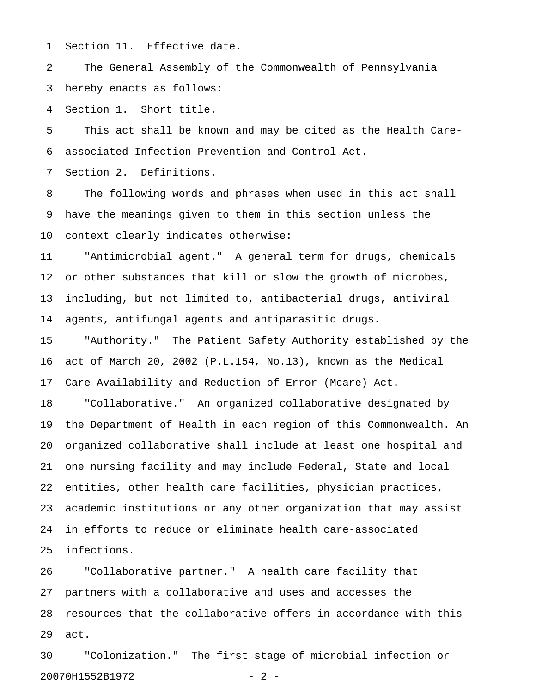1 Section 11. Effective date.

2 The General Assembly of the Commonwealth of Pennsylvania 3 hereby enacts as follows:

4 Section 1. Short title.

5 This act shall be known and may be cited as the Health Care-6 associated Infection Prevention and Control Act.

7 Section 2. Definitions.

8 The following words and phrases when used in this act shall 9 have the meanings given to them in this section unless the 10 context clearly indicates otherwise:

11 "Antimicrobial agent." A general term for drugs, chemicals 12 or other substances that kill or slow the growth of microbes, 13 including, but not limited to, antibacterial drugs, antiviral 14 agents, antifungal agents and antiparasitic drugs.

15 "Authority." The Patient Safety Authority established by the 16 act of March 20, 2002 (P.L.154, No.13), known as the Medical 17 Care Availability and Reduction of Error (Mcare) Act.

18 "Collaborative." An organized collaborative designated by 19 the Department of Health in each region of this Commonwealth. An 20 organized collaborative shall include at least one hospital and 21 one nursing facility and may include Federal, State and local 22 entities, other health care facilities, physician practices, 23 academic institutions or any other organization that may assist 24 in efforts to reduce or eliminate health care-associated 25 infections.

26 "Collaborative partner." A health care facility that 27 partners with a collaborative and uses and accesses the 28 resources that the collaborative offers in accordance with this 29 act.

30 "Colonization." The first stage of microbial infection or 20070H1552B1972 - 2 -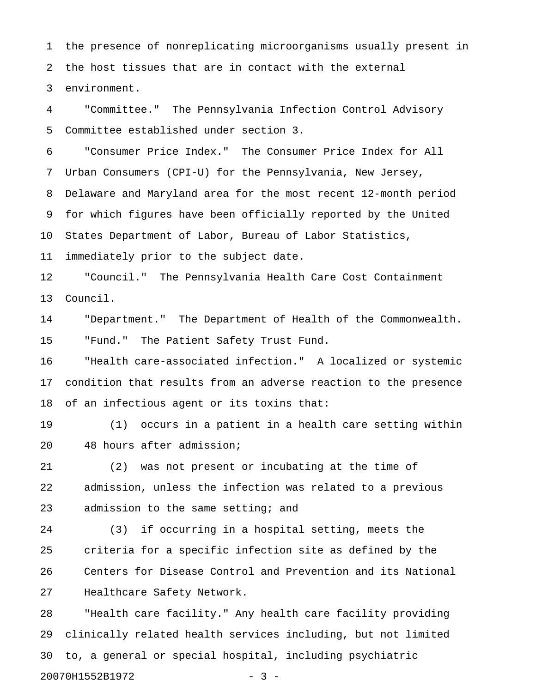1 the presence of nonreplicating microorganisms usually present in 2 the host tissues that are in contact with the external 3 environment.

4 "Committee." The Pennsylvania Infection Control Advisory 5 Committee established under section 3.

6 "Consumer Price Index." The Consumer Price Index for All 7 Urban Consumers (CPI-U) for the Pennsylvania, New Jersey, 8 Delaware and Maryland area for the most recent 12-month period 9 for which figures have been officially reported by the United 10 States Department of Labor, Bureau of Labor Statistics, 11 immediately prior to the subject date.

12 "Council." The Pennsylvania Health Care Cost Containment 13 Council.

14 "Department." The Department of Health of the Commonwealth. 15 "Fund." The Patient Safety Trust Fund.

16 "Health care-associated infection." A localized or systemic 17 condition that results from an adverse reaction to the presence 18 of an infectious agent or its toxins that:

19 (1) occurs in a patient in a health care setting within 20 48 hours after admission;

21 (2) was not present or incubating at the time of 22 admission, unless the infection was related to a previous 23 admission to the same setting; and

24 (3) if occurring in a hospital setting, meets the 25 criteria for a specific infection site as defined by the 26 Centers for Disease Control and Prevention and its National 27 Healthcare Safety Network.

28 "Health care facility." Any health care facility providing 29 clinically related health services including, but not limited 30 to, a general or special hospital, including psychiatric 20070H1552B1972 - 3 -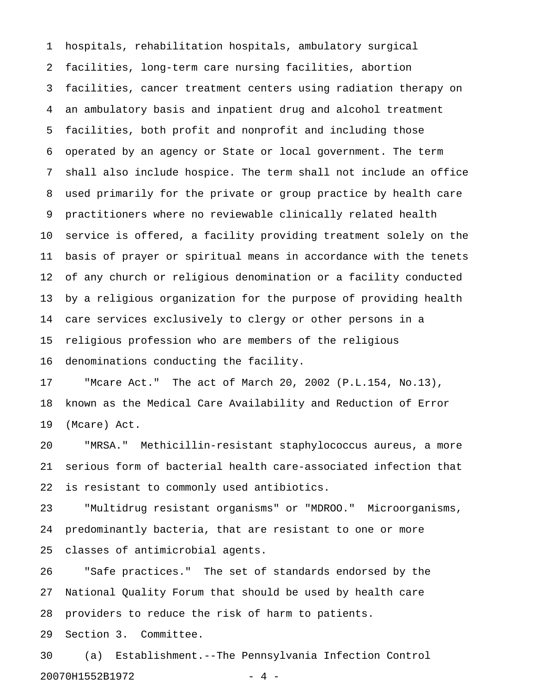1 hospitals, rehabilitation hospitals, ambulatory surgical 2 facilities, long-term care nursing facilities, abortion 3 facilities, cancer treatment centers using radiation therapy on 4 an ambulatory basis and inpatient drug and alcohol treatment 5 facilities, both profit and nonprofit and including those 6 operated by an agency or State or local government. The term 7 shall also include hospice. The term shall not include an office 8 used primarily for the private or group practice by health care 9 practitioners where no reviewable clinically related health 10 service is offered, a facility providing treatment solely on the 11 basis of prayer or spiritual means in accordance with the tenets 12 of any church or religious denomination or a facility conducted 13 by a religious organization for the purpose of providing health 14 care services exclusively to clergy or other persons in a 15 religious profession who are members of the religious 16 denominations conducting the facility.

17 "Mcare Act." The act of March 20, 2002 (P.L.154, No.13), 18 known as the Medical Care Availability and Reduction of Error 19 (Mcare) Act.

20 "MRSA." Methicillin-resistant staphylococcus aureus, a more 21 serious form of bacterial health care-associated infection that 22 is resistant to commonly used antibiotics.

23 "Multidrug resistant organisms" or "MDROO." Microorganisms, 24 predominantly bacteria, that are resistant to one or more 25 classes of antimicrobial agents.

26 "Safe practices." The set of standards endorsed by the 27 National Quality Forum that should be used by health care 28 providers to reduce the risk of harm to patients.

29 Section 3. Committee.

30 (a) Establishment.--The Pennsylvania Infection Control 20070H1552B1972 - 4 -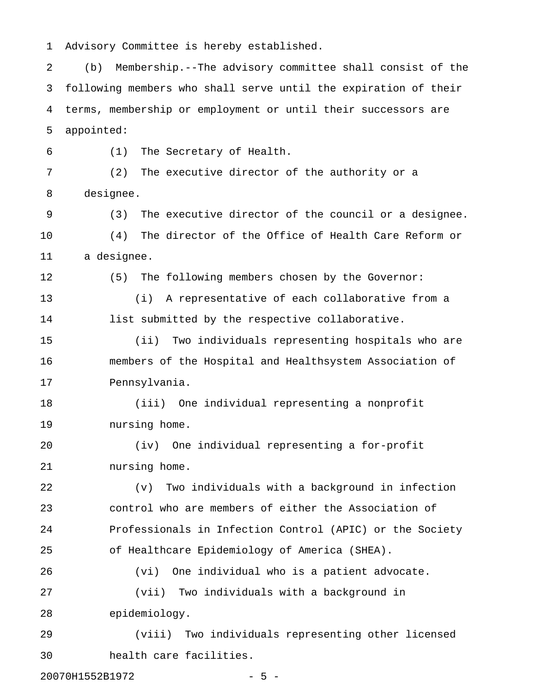1 Advisory Committee is hereby established.

2 (b) Membership.--The advisory committee shall consist of the 3 following members who shall serve until the expiration of their 4 terms, membership or employment or until their successors are 5 appointed:

6 (1) The Secretary of Health. 7 (2) The executive director of the authority or a 8 designee. 9 (3) The executive director of the council or a designee. 10 (4) The director of the Office of Health Care Reform or 11 a designee. 12 (5) The following members chosen by the Governor: 13 (i) A representative of each collaborative from a 14 list submitted by the respective collaborative. 15 (ii) Two individuals representing hospitals who are 16 members of the Hospital and Healthsystem Association of 17 Pennsylvania. 18 (iii) One individual representing a nonprofit 19 nursing home. 20 (iv) One individual representing a for-profit 21 nursing home. 22 (v) Two individuals with a background in infection

23 control who are members of either the Association of 24 Professionals in Infection Control (APIC) or the Society 25 of Healthcare Epidemiology of America (SHEA).

26 (vi) One individual who is a patient advocate. 27 (vii) Two individuals with a background in 28 epidemiology.

29 (viii) Two individuals representing other licensed 30 health care facilities.

20070H1552B1972 - 5 -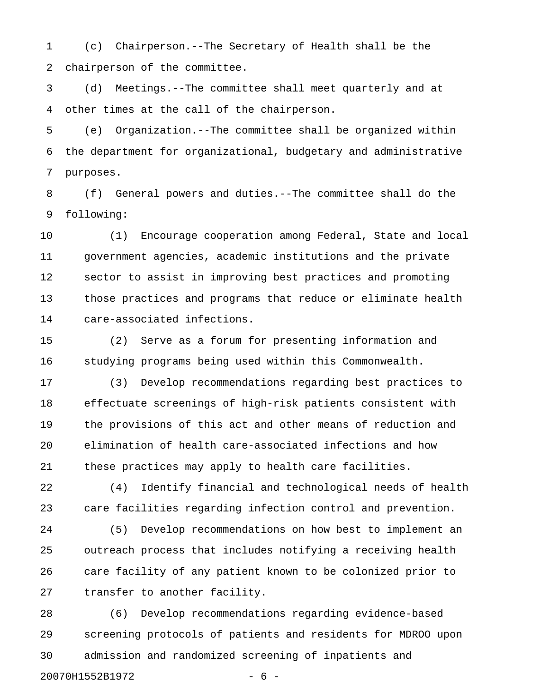1 (c) Chairperson.--The Secretary of Health shall be the 2 chairperson of the committee.

3 (d) Meetings.--The committee shall meet quarterly and at 4 other times at the call of the chairperson.

5 (e) Organization.--The committee shall be organized within 6 the department for organizational, budgetary and administrative 7 purposes.

8 (f) General powers and duties.--The committee shall do the 9 following:

10 (1) Encourage cooperation among Federal, State and local 11 government agencies, academic institutions and the private 12 sector to assist in improving best practices and promoting 13 those practices and programs that reduce or eliminate health 14 care-associated infections.

15 (2) Serve as a forum for presenting information and 16 studying programs being used within this Commonwealth.

17 (3) Develop recommendations regarding best practices to 18 effectuate screenings of high-risk patients consistent with 19 the provisions of this act and other means of reduction and 20 elimination of health care-associated infections and how 21 these practices may apply to health care facilities.

22 (4) Identify financial and technological needs of health 23 care facilities regarding infection control and prevention.

24 (5) Develop recommendations on how best to implement an 25 outreach process that includes notifying a receiving health 26 care facility of any patient known to be colonized prior to 27 transfer to another facility.

28 (6) Develop recommendations regarding evidence-based 29 screening protocols of patients and residents for MDROO upon 30 admission and randomized screening of inpatients and 20070H1552B1972 - 6 -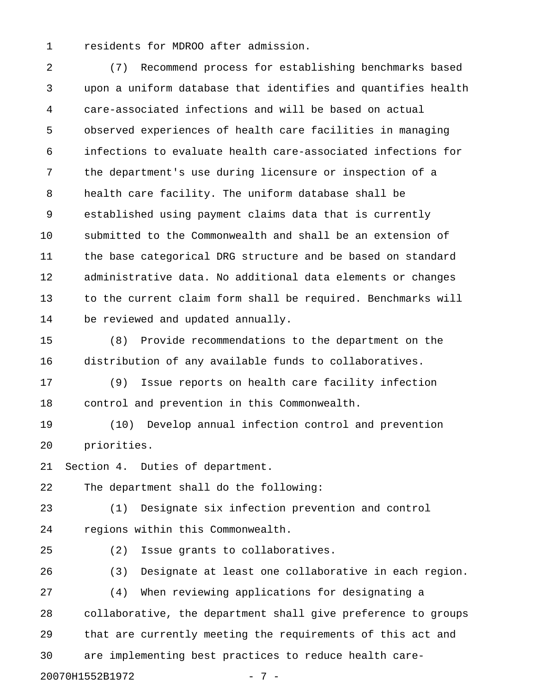1 residents for MDROO after admission.

2 (7) Recommend process for establishing benchmarks based 3 upon a uniform database that identifies and quantifies health 4 care-associated infections and will be based on actual 5 observed experiences of health care facilities in managing 6 infections to evaluate health care-associated infections for 7 the department's use during licensure or inspection of a 8 health care facility. The uniform database shall be 9 established using payment claims data that is currently 10 submitted to the Commonwealth and shall be an extension of 11 the base categorical DRG structure and be based on standard 12 administrative data. No additional data elements or changes 13 to the current claim form shall be required. Benchmarks will 14 be reviewed and updated annually.

15 (8) Provide recommendations to the department on the 16 distribution of any available funds to collaboratives.

17 (9) Issue reports on health care facility infection 18 control and prevention in this Commonwealth.

19 (10) Develop annual infection control and prevention 20 priorities.

21 Section 4. Duties of department.

22 The department shall do the following:

23 (1) Designate six infection prevention and control 24 regions within this Commonwealth.

25 (2) Issue grants to collaboratives.

26 (3) Designate at least one collaborative in each region. 27 (4) When reviewing applications for designating a 28 collaborative, the department shall give preference to groups 29 that are currently meeting the requirements of this act and 30 are implementing best practices to reduce health care-20070H1552B1972 - 7 -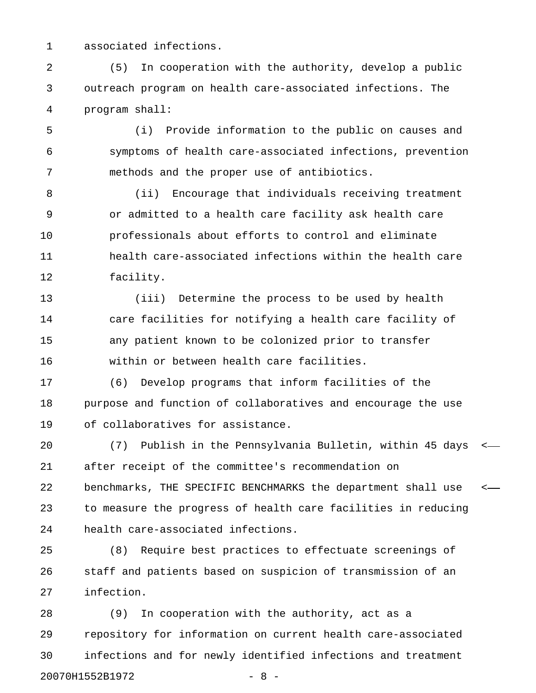1 associated infections.

2 (5) In cooperation with the authority, develop a public 3 outreach program on health care-associated infections. The 4 program shall:

5 (i) Provide information to the public on causes and 6 symptoms of health care-associated infections, prevention 7 methods and the proper use of antibiotics.

8 (ii) Encourage that individuals receiving treatment 9 or admitted to a health care facility ask health care 10 professionals about efforts to control and eliminate 11 health care-associated infections within the health care 12 facility.

13 (iii) Determine the process to be used by health 14 care facilities for notifying a health care facility of 15 any patient known to be colonized prior to transfer 16 within or between health care facilities.

17 (6) Develop programs that inform facilities of the 18 purpose and function of collaboratives and encourage the use 19 of collaboratives for assistance.

20 (7) Publish in the Pennsylvania Bulletin, within 45 days < 21 after receipt of the committee's recommendation on 22 benchmarks, THE SPECIFIC BENCHMARKS the department shall use < 23 to measure the progress of health care facilities in reducing 24 health care-associated infections.

25 (8) Require best practices to effectuate screenings of 26 staff and patients based on suspicion of transmission of an 27 infection.

28 (9) In cooperation with the authority, act as a 29 repository for information on current health care-associated 30 infections and for newly identified infections and treatment 20070H1552B1972 - 8 -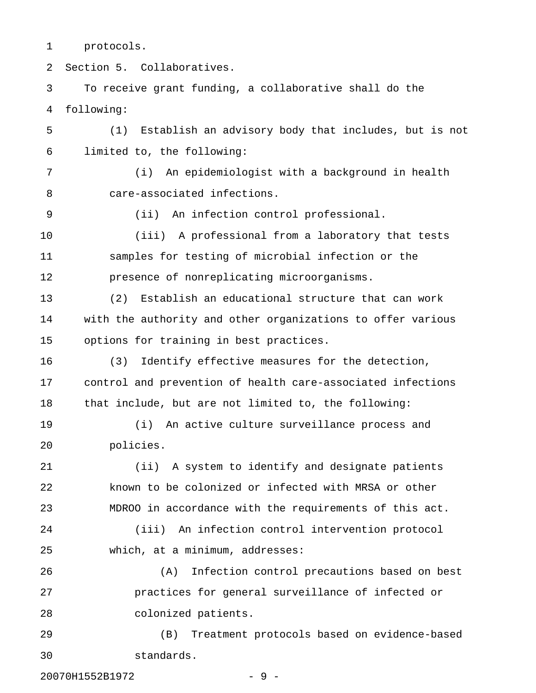1 protocols.

2 Section 5. Collaboratives.

3 To receive grant funding, a collaborative shall do the 4 following: 5 (1) Establish an advisory body that includes, but is not

6 limited to, the following:

7 (i) An epidemiologist with a background in health 8 care-associated infections.

9 (ii) An infection control professional.

10 (iii) A professional from a laboratory that tests 11 samples for testing of microbial infection or the 12 presence of nonreplicating microorganisms.

13 (2) Establish an educational structure that can work 14 with the authority and other organizations to offer various 15 options for training in best practices.

16 (3) Identify effective measures for the detection, 17 control and prevention of health care-associated infections 18 that include, but are not limited to, the following:

19 (i) An active culture surveillance process and 20 policies.

21 (ii) A system to identify and designate patients 22 known to be colonized or infected with MRSA or other 23 MDROO in accordance with the requirements of this act.

24 (iii) An infection control intervention protocol 25 which, at a minimum, addresses:

26 (A) Infection control precautions based on best 27 practices for general surveillance of infected or 28 colonized patients.

29 (B) Treatment protocols based on evidence-based 30 standards.

20070H1552B1972 - 9 -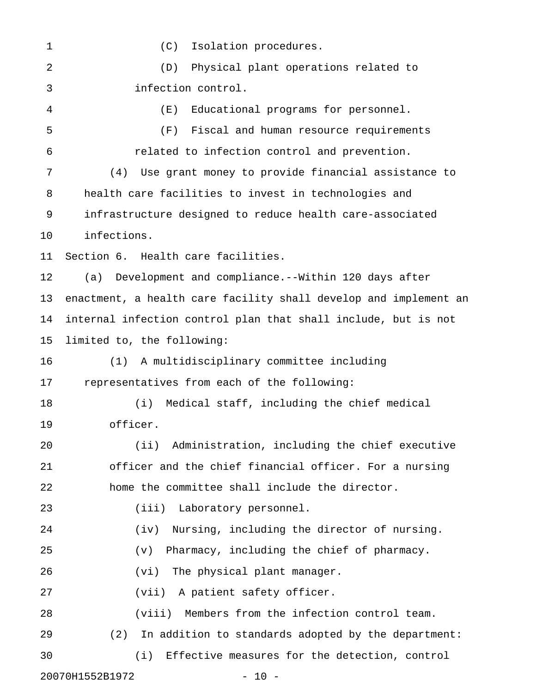1 (C) Isolation procedures. 2 (D) Physical plant operations related to 3 infection control. 4 (E) Educational programs for personnel. 5 (F) Fiscal and human resource requirements 6 related to infection control and prevention. 7 (4) Use grant money to provide financial assistance to 8 health care facilities to invest in technologies and 9 infrastructure designed to reduce health care-associated 10 infections. 11 Section 6. Health care facilities. 12 (a) Development and compliance.--Within 120 days after 13 enactment, a health care facility shall develop and implement an 14 internal infection control plan that shall include, but is not 15 limited to, the following: 16 (1) A multidisciplinary committee including 17 representatives from each of the following: 18 (i) Medical staff, including the chief medical 19 officer. 20 (ii) Administration, including the chief executive 21 officer and the chief financial officer. For a nursing 22 home the committee shall include the director. 23 (iii) Laboratory personnel. 24 (iv) Nursing, including the director of nursing. 25 (v) Pharmacy, including the chief of pharmacy. 26 (vi) The physical plant manager. 27 (vii) A patient safety officer. 28 (viii) Members from the infection control team. 29 (2) In addition to standards adopted by the department: 30 (i) Effective measures for the detection, control 20070H1552B1972 - 10 -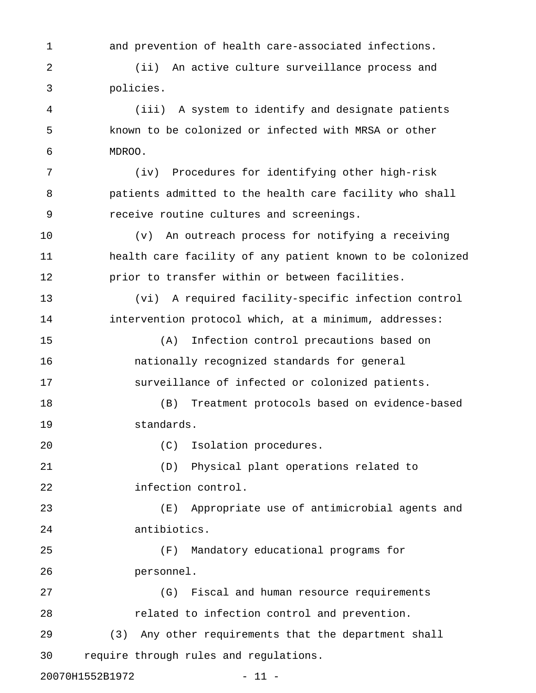1 and prevention of health care-associated infections.

2 (ii) An active culture surveillance process and 3 policies.

4 (iii) A system to identify and designate patients 5 known to be colonized or infected with MRSA or other 6 MDROO.

7 (iv) Procedures for identifying other high-risk 8 patients admitted to the health care facility who shall 9 receive routine cultures and screenings.

10 (v) An outreach process for notifying a receiving 11 health care facility of any patient known to be colonized 12 prior to transfer within or between facilities.

13 (vi) A required facility-specific infection control 14 intervention protocol which, at a minimum, addresses:

15 (A) Infection control precautions based on 16 nationally recognized standards for general 17 surveillance of infected or colonized patients.

18 (B) Treatment protocols based on evidence-based 19 standards.

20 (C) Isolation procedures.

21 (D) Physical plant operations related to 22 infection control.

23 (E) Appropriate use of antimicrobial agents and 24 antibiotics.

25 (F) Mandatory educational programs for 26 personnel.

30 require through rules and regulations.

27 (G) Fiscal and human resource requirements 28 related to infection control and prevention. 29 (3) Any other requirements that the department shall

20070H1552B1972 - 11 -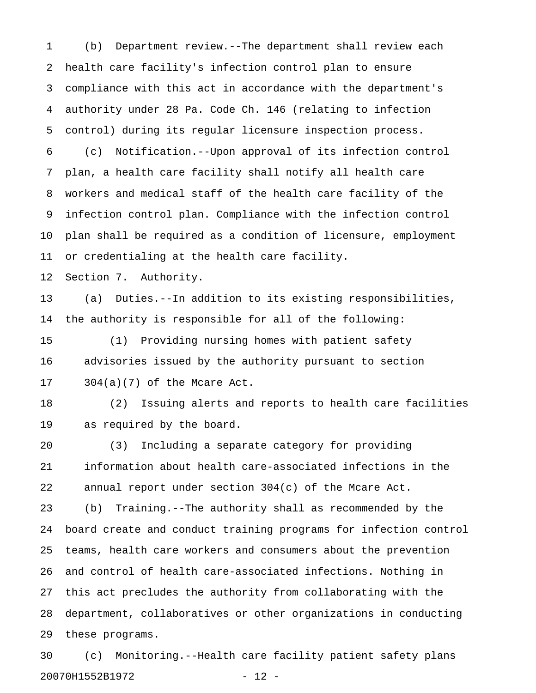1 (b) Department review.--The department shall review each 2 health care facility's infection control plan to ensure 3 compliance with this act in accordance with the department's 4 authority under 28 Pa. Code Ch. 146 (relating to infection 5 control) during its regular licensure inspection process. 6 (c) Notification.--Upon approval of its infection control 7 plan, a health care facility shall notify all health care 8 workers and medical staff of the health care facility of the 9 infection control plan. Compliance with the infection control 10 plan shall be required as a condition of licensure, employment 11 or credentialing at the health care facility. 12 Section 7. Authority. 13 (a) Duties.--In addition to its existing responsibilities, 14 the authority is responsible for all of the following: 15 (1) Providing nursing homes with patient safety 16 advisories issued by the authority pursuant to section 17 304(a)(7) of the Mcare Act. 18 (2) Issuing alerts and reports to health care facilities

19 as required by the board.

20 (3) Including a separate category for providing 21 information about health care-associated infections in the 22 annual report under section 304(c) of the Mcare Act.

23 (b) Training.--The authority shall as recommended by the 24 board create and conduct training programs for infection control 25 teams, health care workers and consumers about the prevention 26 and control of health care-associated infections. Nothing in 27 this act precludes the authority from collaborating with the 28 department, collaboratives or other organizations in conducting 29 these programs.

30 (c) Monitoring.--Health care facility patient safety plans 20070H1552B1972 - 12 -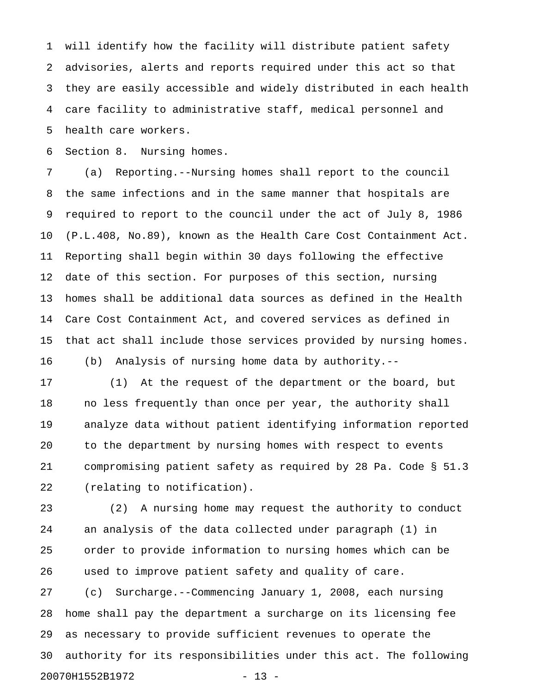1 will identify how the facility will distribute patient safety 2 advisories, alerts and reports required under this act so that 3 they are easily accessible and widely distributed in each health 4 care facility to administrative staff, medical personnel and 5 health care workers.

6 Section 8. Nursing homes.

7 (a) Reporting.--Nursing homes shall report to the council 8 the same infections and in the same manner that hospitals are 9 required to report to the council under the act of July 8, 1986 10 (P.L.408, No.89), known as the Health Care Cost Containment Act. 11 Reporting shall begin within 30 days following the effective 12 date of this section. For purposes of this section, nursing 13 homes shall be additional data sources as defined in the Health 14 Care Cost Containment Act, and covered services as defined in 15 that act shall include those services provided by nursing homes. 16 (b) Analysis of nursing home data by authority.--

17 (1) At the request of the department or the board, but 18 no less frequently than once per year, the authority shall 19 analyze data without patient identifying information reported 20 to the department by nursing homes with respect to events 21 compromising patient safety as required by 28 Pa. Code § 51.3 22 (relating to notification).

23 (2) A nursing home may request the authority to conduct 24 an analysis of the data collected under paragraph (1) in 25 order to provide information to nursing homes which can be 26 used to improve patient safety and quality of care. 27 (c) Surcharge.--Commencing January 1, 2008, each nursing

28 home shall pay the department a surcharge on its licensing fee 29 as necessary to provide sufficient revenues to operate the 30 authority for its responsibilities under this act. The following 20070H1552B1972 - 13 -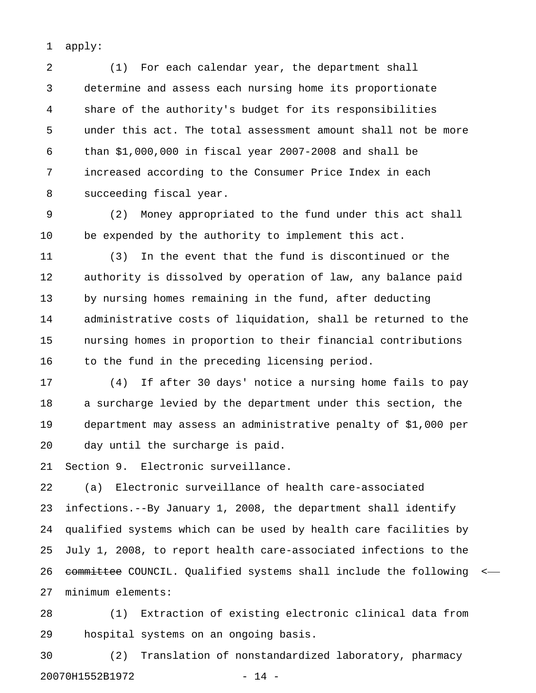1 apply:

2 (1) For each calendar year, the department shall 3 determine and assess each nursing home its proportionate 4 share of the authority's budget for its responsibilities 5 under this act. The total assessment amount shall not be more 6 than \$1,000,000 in fiscal year 2007-2008 and shall be 7 increased according to the Consumer Price Index in each 8 succeeding fiscal year.

9 (2) Money appropriated to the fund under this act shall 10 be expended by the authority to implement this act.

11 (3) In the event that the fund is discontinued or the 12 authority is dissolved by operation of law, any balance paid 13 by nursing homes remaining in the fund, after deducting 14 administrative costs of liquidation, shall be returned to the 15 nursing homes in proportion to their financial contributions 16 to the fund in the preceding licensing period.

17 (4) If after 30 days' notice a nursing home fails to pay 18 a surcharge levied by the department under this section, the 19 department may assess an administrative penalty of \$1,000 per 20 day until the surcharge is paid.

21 Section 9. Electronic surveillance.

22 (a) Electronic surveillance of health care-associated 23 infections.--By January 1, 2008, the department shall identify 24 qualified systems which can be used by health care facilities by 25 July 1, 2008, to report health care-associated infections to the 26 committee COUNCIL. Qualified systems shall include the following <-27 minimum elements:

28 (1) Extraction of existing electronic clinical data from 29 hospital systems on an ongoing basis.

30 (2) Translation of nonstandardized laboratory, pharmacy 20070H1552B1972 - 14 -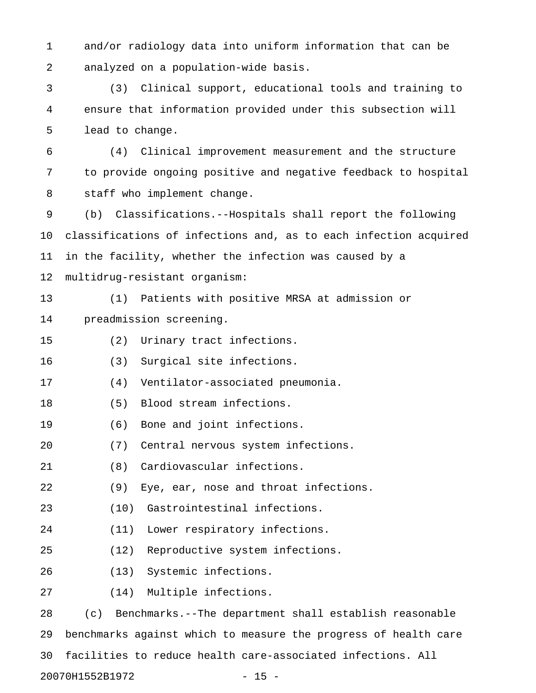1 and/or radiology data into uniform information that can be 2 analyzed on a population-wide basis.

3 (3) Clinical support, educational tools and training to 4 ensure that information provided under this subsection will 5 lead to change.

6 (4) Clinical improvement measurement and the structure 7 to provide ongoing positive and negative feedback to hospital 8 staff who implement change.

9 (b) Classifications.--Hospitals shall report the following 10 classifications of infections and, as to each infection acquired 11 in the facility, whether the infection was caused by a 12 multidrug-resistant organism:

13 (1) Patients with positive MRSA at admission or 14 preadmission screening.

15 (2) Urinary tract infections.

16 (3) Surgical site infections.

17 (4) Ventilator-associated pneumonia.

- 18 (5) Blood stream infections.
- 19 (6) Bone and joint infections.
- 20 (7) Central nervous system infections.
- 21 (8) Cardiovascular infections.
- 22 (9) Eye, ear, nose and throat infections.
- 23 (10) Gastrointestinal infections.
- 24 (11) Lower respiratory infections.
- 25 (12) Reproductive system infections.
- 26 (13) Systemic infections.
- 27 (14) Multiple infections.

28 (c) Benchmarks.--The department shall establish reasonable 29 benchmarks against which to measure the progress of health care 30 facilities to reduce health care-associated infections. All 20070H1552B1972 - 15 -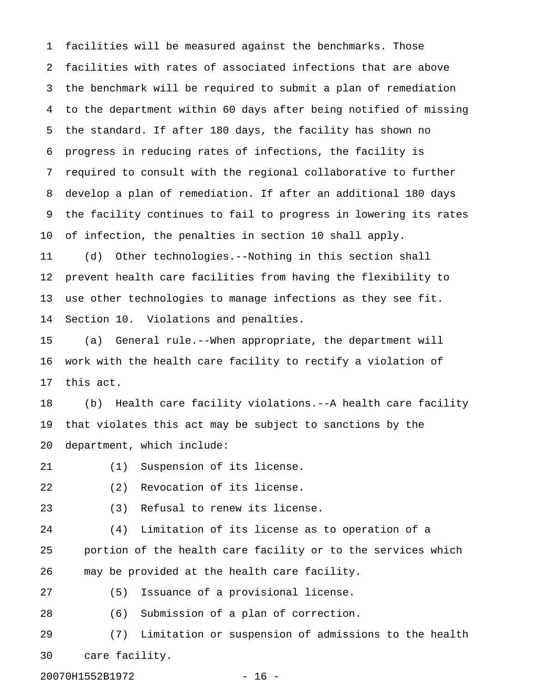1 facilities will be measured against the benchmarks. Those 2 facilities with rates of associated infections that are above 3 the benchmark will be required to submit a plan of remediation 4 to the department within 60 days after being notified of missing 5 the standard. If after 180 days, the facility has shown no 6 progress in reducing rates of infections, the facility is 7 required to consult with the regional collaborative to further 8 develop a plan of remediation. If after an additional 180 days 9 the facility continues to fail to progress in lowering its rates 10 of infection, the penalties in section 10 shall apply.

11 (d) Other technologies.--Nothing in this section shall 12 prevent health care facilities from having the flexibility to 13 use other technologies to manage infections as they see fit. 14 Section 10. Violations and penalties.

15 (a) General rule.--When appropriate, the department will 16 work with the health care facility to rectify a violation of 17 this act.

18 (b) Health care facility violations.--A health care facility 19 that violates this act may be subject to sanctions by the 20 department, which include:

- 21 (1) Suspension of its license.
- 22 (2) Revocation of its license.
- 23 (3) Refusal to renew its license.

24 (4) Limitation of its license as to operation of a 25 portion of the health care facility or to the services which 26 may be provided at the health care facility.

27 (5) Issuance of a provisional license.

28 (6) Submission of a plan of correction.

29 (7) Limitation or suspension of admissions to the health 30 care facility.

20070H1552B1972 - 16 -